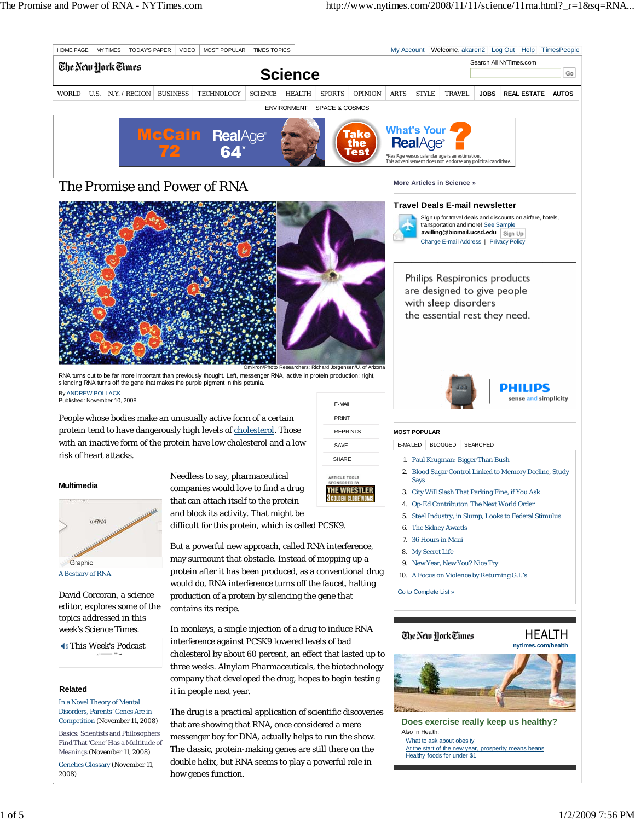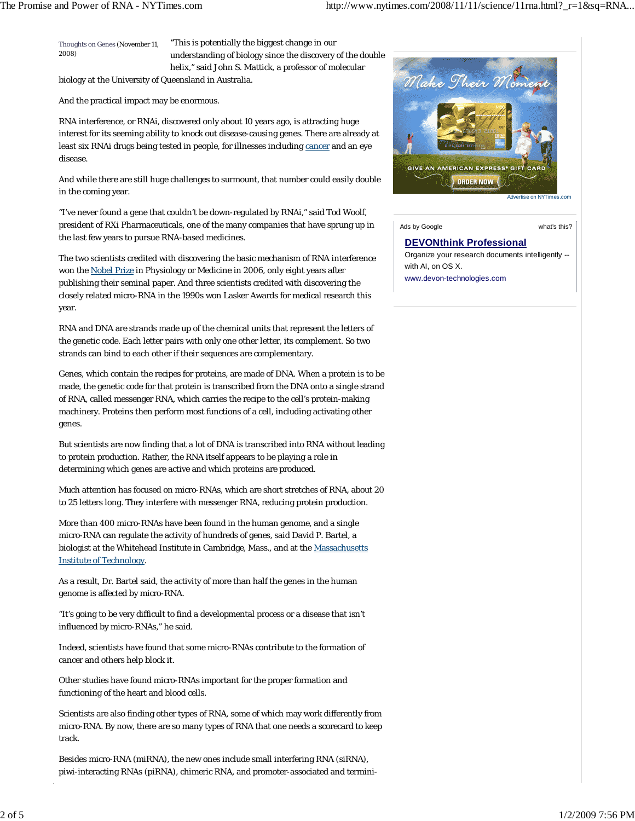Thoughts on Genes (November 11, 2008)

"This is potentially the biggest change in our understanding of biology since the discovery of the double helix," said John S. Mattick, a professor of molecular

biology at the University of Queensland in Australia.

And the practical impact may be enormous.

RNA interference, or RNAi, discovered only about 10 years ago, is attracting huge interest for its seeming ability to knock out disease-causing genes. There are already at least six RNAi drugs being tested in people, for illnesses including cancer and an eye disease.

And while there are still huge challenges to surmount, that number could easily double in the coming year.

"I've never found a gene that couldn't be down-regulated by RNAi," said Tod Woolf, president of RXi Pharmaceuticals, one of the many companies that have sprung up in the last few years to pursue RNA-based medicines.

The two scientists credited with discovering the basic mechanism of RNA interference won the Nobel Prize in Physiology or Medicine in 2006, only eight years after publishing their seminal paper. And three scientists credited with discovering the closely related micro-RNA in the 1990s won Lasker Awards for medical research this year.

RNA and DNA are strands made up of the chemical units that represent the letters of the genetic code. Each letter pairs with only one other letter, its complement. So two strands can bind to each other if their sequences are complementary.

Genes, which contain the recipes for proteins, are made of DNA. When a protein is to be made, the genetic code for that protein is transcribed from the DNA onto a single strand of RNA, called messenger RNA, which carries the recipe to the cell's protein-making machinery. Proteins then perform most functions of a cell, including activating other genes.

But scientists are now finding that a lot of DNA is transcribed into RNA without leading to protein production. Rather, the RNA itself appears to be playing a role in determining which genes are active and which proteins are produced.

Much attention has focused on micro-RNAs, which are short stretches of RNA, about 20 to 25 letters long. They interfere with messenger RNA, reducing protein production.

More than 400 micro-RNAs have been found in the human genome, and a single micro-RNA can regulate the activity of hundreds of genes, said David P. Bartel, a biologist at the Whitehead Institute in Cambridge, Mass., and at the Massachusetts Institute of Technology.

As a result, Dr. Bartel said, the activity of more than half the genes in the human genome is affected by micro-RNA.

"It's going to be very difficult to find a developmental process or a disease that isn't influenced by micro-RNAs," he said.

Indeed, scientists have found that some micro-RNAs contribute to the formation of cancer and others help block it.

Other studies have found micro-RNAs important for the proper formation and functioning of the heart and blood cells.

Scientists are also finding other types of RNA, some of which may work differently from micro-RNA. By now, there are so many types of RNA that one needs a scorecard to keep track.

Besides micro-RNA (miRNA), the new ones include small interfering RNA (siRNA), piwi-interacting RNAs (piRNA), chimeric RNA, and promoter-associated and termini-



Ads by Google **by Cooking Cooking** what's this?

# **DEVONthink Professional**

Organize your research documents intelligently - with AI, on OS X.

www.devon-technologies.com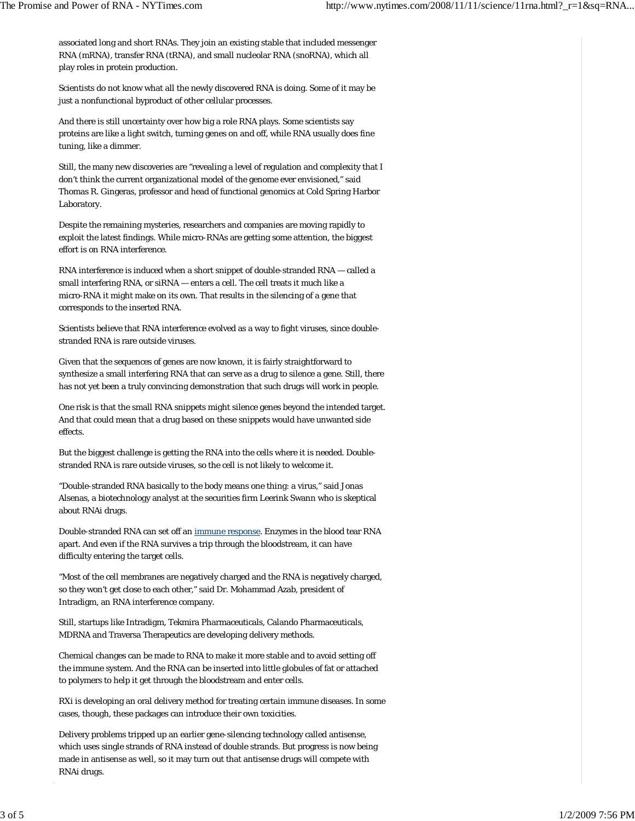associated long and short RNAs. They join an existing stable that included messenger RNA (mRNA), transfer RNA (tRNA), and small nucleolar RNA (snoRNA), which all play roles in protein production.

Scientists do not know what all the newly discovered RNA is doing. Some of it may be just a nonfunctional byproduct of other cellular processes.

And there is still uncertainty over how big a role RNA plays. Some scientists say proteins are like a light switch, turning genes on and off, while RNA usually does fine tuning, like a dimmer.

Still, the many new discoveries are "revealing a level of regulation and complexity that I don't think the current organizational model of the genome ever envisioned," said Thomas R. Gingeras, professor and head of functional genomics at Cold Spring Harbor Laboratory.

Despite the remaining mysteries, researchers and companies are moving rapidly to exploit the latest findings. While micro-RNAs are getting some attention, the biggest effort is on RNA interference.

RNA interference is induced when a short snippet of double-stranded RNA — called a small interfering RNA, or siRNA — enters a cell. The cell treats it much like a micro-RNA it might make on its own. That results in the silencing of a gene that corresponds to the inserted RNA.

Scientists believe that RNA interference evolved as a way to fight viruses, since doublestranded RNA is rare outside viruses.

Given that the sequences of genes are now known, it is fairly straightforward to synthesize a small interfering RNA that can serve as a drug to silence a gene. Still, there has not yet been a truly convincing demonstration that such drugs will work in people.

One risk is that the small RNA snippets might silence genes beyond the intended target. And that could mean that a drug based on these snippets would have unwanted side effects.

But the biggest challenge is getting the RNA into the cells where it is needed. Doublestranded RNA is rare outside viruses, so the cell is not likely to welcome it.

"Double-stranded RNA basically to the body means one thing: a virus," said Jonas Alsenas, a biotechnology analyst at the securities firm Leerink Swann who is skeptical about RNAi drugs.

Double-stranded RNA can set off an immune response. Enzymes in the blood tear RNA apart. And even if the RNA survives a trip through the bloodstream, it can have difficulty entering the target cells.

"Most of the cell membranes are negatively charged and the RNA is negatively charged, so they won't get close to each other," said Dr. Mohammad Azab, president of Intradigm, an RNA interference company.

Still, startups like Intradigm, Tekmira Pharmaceuticals, Calando Pharmaceuticals, MDRNA and Traversa Therapeutics are developing delivery methods.

Chemical changes can be made to RNA to make it more stable and to avoid setting off the immune system. And the RNA can be inserted into little globules of fat or attached to polymers to help it get through the bloodstream and enter cells.

RXi is developing an oral delivery method for treating certain immune diseases. In some cases, though, these packages can introduce their own toxicities.

Delivery problems tripped up an earlier gene-silencing technology called antisense, which uses single strands of RNA instead of double strands. But progress is now being made in antisense as well, so it may turn out that antisense drugs will compete with RNAi drugs.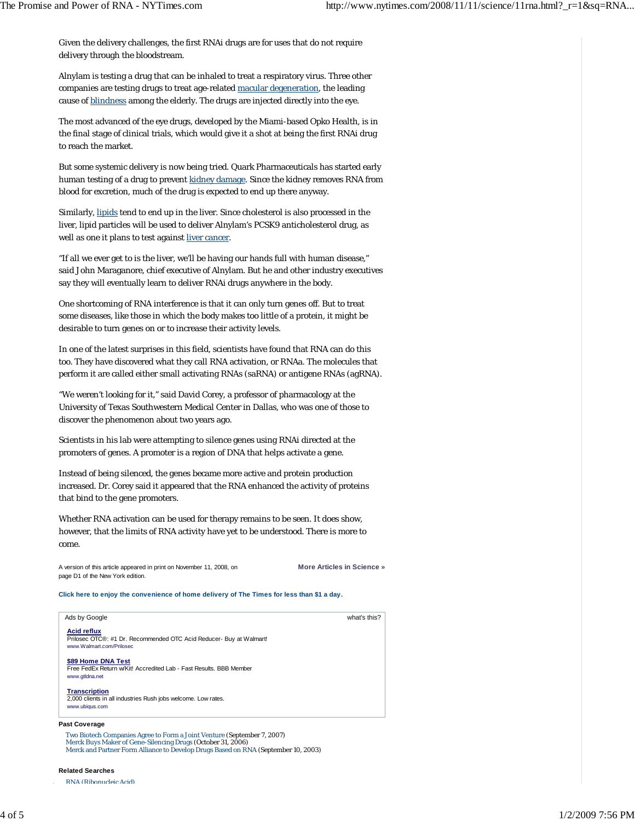Given the delivery challenges, the first RNAi drugs are for uses that do not require delivery through the bloodstream.

Alnylam is testing a drug that can be inhaled to treat a respiratory virus. Three other companies are testing drugs to treat age-related macular degeneration, the leading cause of blindness among the elderly. The drugs are injected directly into the eye.

The most advanced of the eye drugs, developed by the Miami-based Opko Health, is in the final stage of clinical trials, which would give it a shot at being the first RNAi drug to reach the market.

But some systemic delivery is now being tried. Quark Pharmaceuticals has started early human testing of a drug to prevent **kidney damage**. Since the kidney removes RNA from blood for excretion, much of the drug is expected to end up there anyway.

Similarly, lipids tend to end up in the liver. Since cholesterol is also processed in the liver, lipid particles will be used to deliver Alnylam's PCSK9 anticholesterol drug, as well as one it plans to test against liver cancer.

"If all we ever get to is the liver, we'll be having our hands full with human disease," said John Maraganore, chief executive of Alnylam. But he and other industry executives say they will eventually learn to deliver RNAi drugs anywhere in the body.

One shortcoming of RNA interference is that it can only turn genes off. But to treat some diseases, like those in which the body makes too little of a protein, it might be desirable to turn genes on or to increase their activity levels.

In one of the latest surprises in this field, scientists have found that RNA can do this too. They have discovered what they call RNA activation, or RNAa. The molecules that perform it are called either small activating RNAs (saRNA) or antigene RNAs (agRNA).

"We weren't looking for it," said David Corey, a professor of pharmacology at the University of Texas Southwestern Medical Center in Dallas, who was one of those to discover the phenomenon about two years ago.

Scientists in his lab were attempting to silence genes using RNAi directed at the promoters of genes. A promoter is a region of DNA that helps activate a gene.

Instead of being silenced, the genes became more active and protein production increased. Dr. Corey said it appeared that the RNA enhanced the activity of proteins that bind to the gene promoters.

Whether RNA activation can be used for therapy remains to be seen. It does show, however, that the limits of RNA activity have yet to be understood. There is more to come.

A version of this article appeared in print on November 11, 2008, on **More Articles in Science »** page D1 of the New York edition.

**Click here to enjoy the convenience of home delivery of The Times for less than \$1 a day.**

## Ads by Google what's this?

**Acid reflux** Prilosec OTC®: #1 Dr. Recommended OTC Acid Reducer- Buy at Walmart! www.Walmart.com/Prilosec

**\$89 Home DNA Test** Free FedEx Return w/Kit! Accredited Lab - Fast Results. BBB Member www.gtldna.net

**Transcription** 2,000 clients in all industries Rush jobs welcome. Low rates. www.ubiqus.com

# **Past Coverage**

Two Biotech Companies Agree to Form a Joint Venture (September 7, 2007) Merck Buys Maker of Gene-Silencing Drugs (October 31, 2006) Merck and Partner Form Alliance to Develop Drugs Based on RNA (September 10, 2003)

### **Related Searches**

RNA (Ribonucleic Acid)